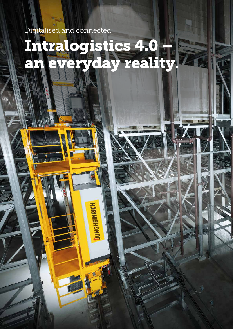Digitalised and connected

# Intralogistics 4.0 – an everyday reality.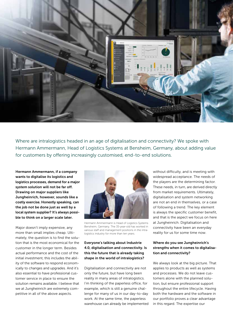

Where are intralogistics headed in an age of digitalisation and connectivity? We spoke with Hermann Ammermann, Head of Logistics Systems at Bensheim, Germany, about adding value for customers by offering increasingly customised, end-to-end solutions.

Hermann Ammermann, if a company wants to digitalise its logistics and logistics processes, demand for a major system solution will not be far off. Drawing on major suppliers like Jungheinrich, however, sounds like a costly exercise. Honestly speaking, can the job not be done just as well by a local system supplier? It's always possible to think on a larger scale later.

Major doesn't imply expensive, any more than small implies cheap. Ultimately, the question is to find the solution that is the most economical for the customer in the longer term. Besides actual performance and the cost of the initial investment, this includes the ability of the software to respond economically to changes and upgrades. And it's also essential to have professional customer service in place to ensure the solution remains available. I believe that we at Jungheinrich are extremely competitive in all of the above aspects.



Hermann Ammermann is Head of Logistics Systems Bensheim, Germany. The 35-year-old has worked in various staff and management positions in the intralogistics industry for more than ten years.

# Everyone's talking about Industrie 4.0, digitalisation and connectivity. Is this the future that is already taking shape in the world of intralogistics?

Digitalisation and connectivity are not only the future, but have long been reality in many areas of intralogistics. I'm thinking of the paperless office, for example, which is still a genuine challenge for many of us in our day-to-day work. At the same time, the paperless warehouse can already be implemented without difficulty, and is meeting with widespread acceptance. The needs of the players are the determining factor. These needs, in turn, are derived directly from market requirements. Ultimately, digitalisation and system networking are not an end in themselves, or a case of following a trend. The key element is always the specific customer benefit, and that is the aspect we focus on here at Jungheinrich. Digitalisation and connectivity have been an everyday reality for us for some time now.

# Where do you see Jungheinrich's strengths when it comes to digitalisation and connectivity?

We always look at the big picture. That applies to products as well as systems and processes. We do not leave customers alone with the planned solution, but ensure professional support throughout the entire lifecycle. Having both the hardware and the software in our portfolio proves a clear advantage in this regard. The expertise our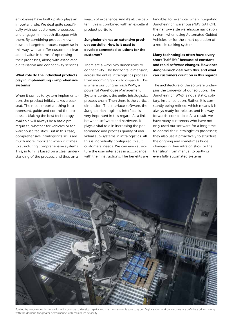employees have built up also plays an important role. We deal quite specifically with our customers' processes, and engage in in-depth dialogue with them. By combining product knowhow and targeted process expertise in this way, we can offer customers clear added value in terms of optimising their processes, along with associated digitalisation and connectivity services.

# What role do the individual products play in implementing comprehensive systems?

When it comes to system implementation, the product initially takes a back seat. The most important thing is to represent, guide and control the processes. Making the best technology available will always be a basic prerequisite, whether for vehicles or for warehouse facilities. But in this case, comprehensive intralogistics skills are much more important when it comes to structuring comprehensive systems. This, in turn, is based on a clear understanding of the process, and thus on a

wealth of experience. And it's all the better if this is combined with an excellent product portfolio.

## Jungheinrich has an extensive product portfolio. How is it used to develop connected solutions for the customer?

There are always two dimensions to connectivity. The horizontal dimension, across the entire intralogistics process from incoming goods to dispatch. This is where our Jungheinrich WMS, a powerful Warehouse Management System, controls the entire intralogistics process chain. Then there is the vertical dimension. The interface software, the Jungheinrich Logistics Interface, is very important in this regard. As a link between software and hardware, it plays a vital role in increasing the performance and process quality of individual sub-systems in intralogistics. All this is individually configured to suit customers' needs. We can even structure the user interfaces in accordance with their instructions. The benefits are

tangible: for example, when integrating Jungheinrich warehouseNAVIGATION, the narrow-aisle warehouse navigation system, when using Automated Guided Vehicles, or for the smart operation of a mobile racking system.

Many technologies often have a very short "half-life" because of constant and rapid software changes. How does Jungheinrich deal with this, and what can customers count on in this regard?

The architecture of the software underpins the longevity of our solution. The Jungheinrich WMS is not a static, solitary, insular solution. Rather, it is constantly being refined, which means it is always ready for release, and is always forwards-compatible. As a result, we have many customers who have not only used our software for a long time to control their intralogistics processes; they also use it proactively to structure the ongoing and sometimes huge changes in their intralogistics, or the transition from manual to partly or even fully automated systems.



Fuelled by innovations, intralogistics will continue to develop rapidly and the momentum is sure to grow. Digitalisation and connectivity are definitely drivers, along with the demand for greater performance with maximum flexibility